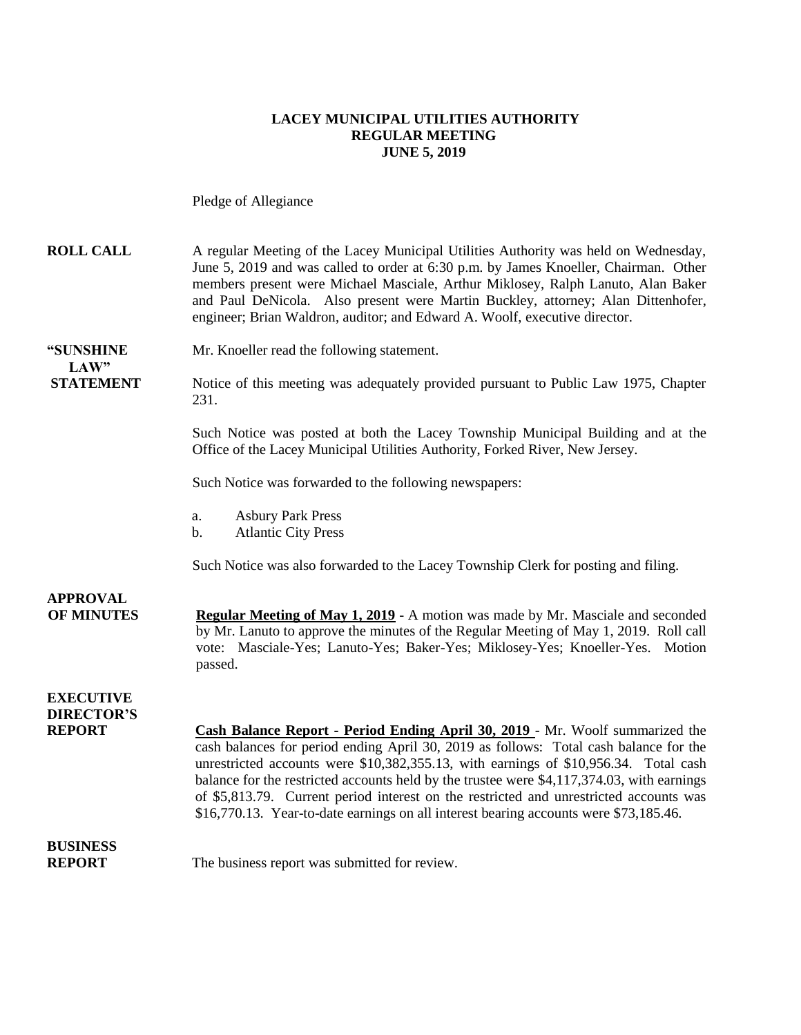#### **LACEY MUNICIPAL UTILITIES AUTHORITY REGULAR MEETING JUNE 5, 2019**

Pledge of Allegiance

| <b>ROLL CALL</b>                                       | A regular Meeting of the Lacey Municipal Utilities Authority was held on Wednesday,<br>June 5, 2019 and was called to order at 6:30 p.m. by James Knoeller, Chairman. Other<br>members present were Michael Masciale, Arthur Miklosey, Ralph Lanuto, Alan Baker<br>and Paul DeNicola. Also present were Martin Buckley, attorney; Alan Dittenhofer,<br>engineer; Brian Waldron, auditor; and Edward A. Woolf, executive director.                      |
|--------------------------------------------------------|--------------------------------------------------------------------------------------------------------------------------------------------------------------------------------------------------------------------------------------------------------------------------------------------------------------------------------------------------------------------------------------------------------------------------------------------------------|
| "SUNSHINE<br>LAW"                                      | Mr. Knoeller read the following statement.                                                                                                                                                                                                                                                                                                                                                                                                             |
| <b>STATEMENT</b>                                       | Notice of this meeting was adequately provided pursuant to Public Law 1975, Chapter<br>231.                                                                                                                                                                                                                                                                                                                                                            |
|                                                        | Such Notice was posted at both the Lacey Township Municipal Building and at the<br>Office of the Lacey Municipal Utilities Authority, Forked River, New Jersey.                                                                                                                                                                                                                                                                                        |
|                                                        | Such Notice was forwarded to the following newspapers:                                                                                                                                                                                                                                                                                                                                                                                                 |
|                                                        | <b>Asbury Park Press</b><br>a.<br><b>Atlantic City Press</b><br>b.                                                                                                                                                                                                                                                                                                                                                                                     |
|                                                        | Such Notice was also forwarded to the Lacey Township Clerk for posting and filing.                                                                                                                                                                                                                                                                                                                                                                     |
| <b>APPROVAL</b><br><b>OF MINUTES</b>                   | <b>Regular Meeting of May 1, 2019</b> - A motion was made by Mr. Masciale and seconded<br>by Mr. Lanuto to approve the minutes of the Regular Meeting of May 1, 2019. Roll call<br>vote: Masciale-Yes; Lanuto-Yes; Baker-Yes; Miklosey-Yes; Knoeller-Yes. Motion<br>passed.                                                                                                                                                                            |
| <b>EXECUTIVE</b><br><b>DIRECTOR'S</b><br><b>REPORT</b> | Cash Balance Report - Period Ending April 30, 2019 - Mr. Woolf summarized the<br>cash balances for period ending April 30, 2019 as follows: Total cash balance for the<br>unrestricted accounts were \$10,382,355.13, with earnings of \$10,956.34. Total cash<br>balance for the restricted accounts held by the trustee were \$4,117,374.03, with earnings<br>of \$5,813.79. Current period interest on the restricted and unrestricted accounts was |
| <b>BUSINESS</b><br><b>REPORT</b>                       | \$16,770.13. Year-to-date earnings on all interest bearing accounts were \$73,185.46.<br>The business report was submitted for review.                                                                                                                                                                                                                                                                                                                 |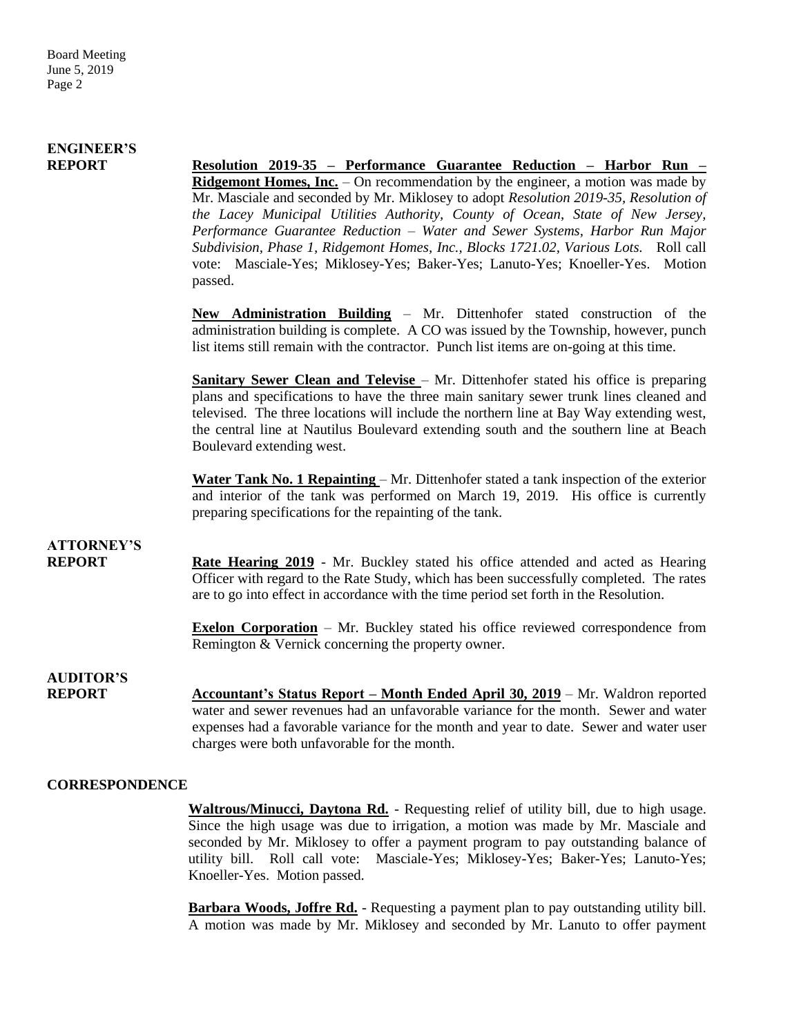### **ENGINEER'S**

**REPORT Resolution 2019-35 – Performance Guarantee Reduction – Harbor Run – Ridgemont Homes, Inc.** – On recommendation by the engineer, a motion was made by Mr. Masciale and seconded by Mr. Miklosey to adopt *Resolution 2019-35, Resolution of the Lacey Municipal Utilities Authority, County of Ocean, State of New Jersey, Performance Guarantee Reduction – Water and Sewer Systems, Harbor Run Major Subdivision, Phase 1, Ridgemont Homes, Inc., Blocks 1721.02, Various Lots.* Roll call vote: Masciale-Yes; Miklosey-Yes; Baker-Yes; Lanuto-Yes; Knoeller-Yes. Motion passed.

> **New Administration Building** – Mr. Dittenhofer stated construction of the administration building is complete. A CO was issued by the Township, however, punch list items still remain with the contractor. Punch list items are on-going at this time.

> **Sanitary Sewer Clean and Televise** – Mr. Dittenhofer stated his office is preparing plans and specifications to have the three main sanitary sewer trunk lines cleaned and televised. The three locations will include the northern line at Bay Way extending west, the central line at Nautilus Boulevard extending south and the southern line at Beach Boulevard extending west.

> **Water Tank No. 1 Repainting** – Mr. Dittenhofer stated a tank inspection of the exterior and interior of the tank was performed on March 19, 2019. His office is currently preparing specifications for the repainting of the tank.

# **ATTORNEY'S**

**REPORT Rate Hearing 2019** - Mr. Buckley stated his office attended and acted as Hearing Officer with regard to the Rate Study, which has been successfully completed. The rates are to go into effect in accordance with the time period set forth in the Resolution.

> **Exelon Corporation** – Mr. Buckley stated his office reviewed correspondence from Remington & Vernick concerning the property owner.

**AUDITOR'S**

**REPORT** Accountant's Status Report – Month Ended April 30, 2019 – Mr. Waldron reported water and sewer revenues had an unfavorable variance for the month. Sewer and water expenses had a favorable variance for the month and year to date. Sewer and water user charges were both unfavorable for the month.

#### **CORRESPONDENCE**

**Waltrous/Minucci, Daytona Rd.** - Requesting relief of utility bill, due to high usage. Since the high usage was due to irrigation, a motion was made by Mr. Masciale and seconded by Mr. Miklosey to offer a payment program to pay outstanding balance of utility bill. Roll call vote: Masciale-Yes; Miklosey-Yes; Baker-Yes; Lanuto-Yes; Knoeller-Yes. Motion passed.

**Barbara Woods, Joffre Rd.** - Requesting a payment plan to pay outstanding utility bill. A motion was made by Mr. Miklosey and seconded by Mr. Lanuto to offer payment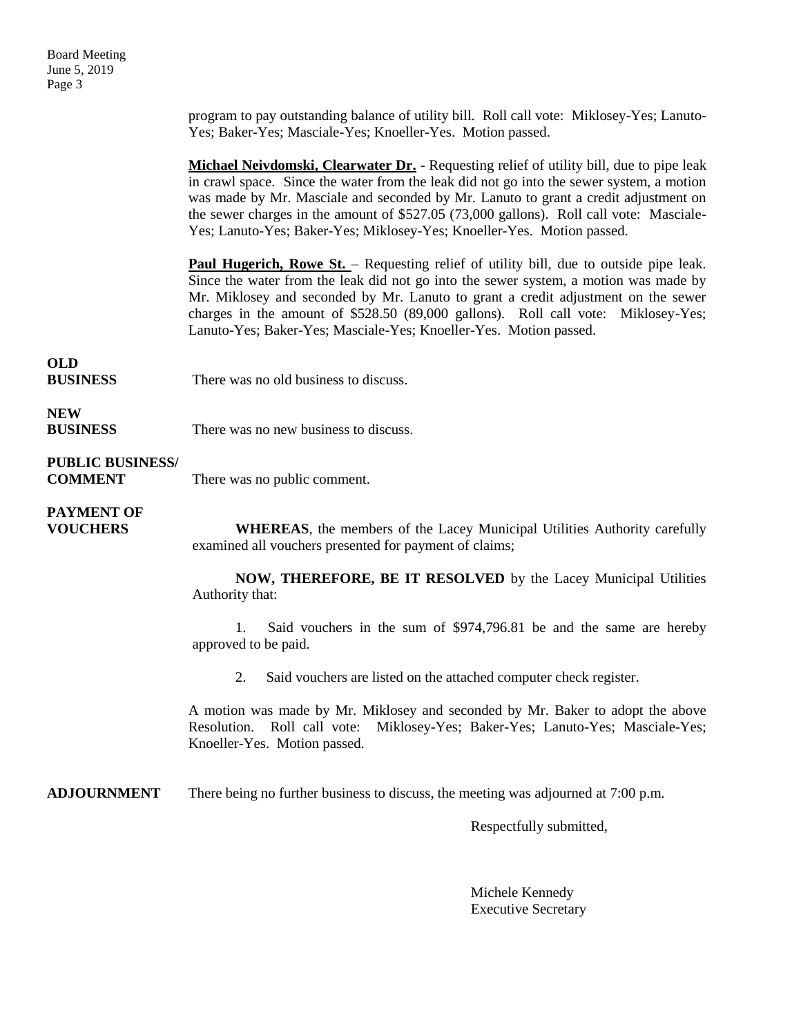Board Meeting June 5, 2019 Page 3

> program to pay outstanding balance of utility bill. Roll call vote: Miklosey-Yes; Lanuto-Yes; Baker-Yes; Masciale-Yes; Knoeller-Yes. Motion passed.

> **Michael Neivdomski, Clearwater Dr.** - Requesting relief of utility bill, due to pipe leak in crawl space. Since the water from the leak did not go into the sewer system, a motion was made by Mr. Masciale and seconded by Mr. Lanuto to grant a credit adjustment on the sewer charges in the amount of \$527.05 (73,000 gallons). Roll call vote: Masciale-Yes; Lanuto-Yes; Baker-Yes; Miklosey-Yes; Knoeller-Yes. Motion passed.

> **Paul Hugerich, Rowe St.** – Requesting relief of utility bill, due to outside pipe leak. Since the water from the leak did not go into the sewer system, a motion was made by Mr. Miklosey and seconded by Mr. Lanuto to grant a credit adjustment on the sewer charges in the amount of \$528.50 (89,000 gallons). Roll call vote: Miklosey-Yes; Lanuto-Yes; Baker-Yes; Masciale-Yes; Knoeller-Yes. Motion passed.

# **OLD**

**BUSINESS** There was no old business to discuss.

### **NEW**

**BUSINESS** There was no new business to discuss.

#### **PUBLIC BUSINESS/**

**COMMENT** There was no public comment.

# **PAYMENT OF**

**VOUCHERS WHEREAS**, the members of the Lacey Municipal Utilities Authority carefully examined all vouchers presented for payment of claims;

> **NOW, THEREFORE, BE IT RESOLVED** by the Lacey Municipal Utilities Authority that:

> 1. Said vouchers in the sum of \$974,796.81 be and the same are hereby approved to be paid.

2. Said vouchers are listed on the attached computer check register.

A motion was made by Mr. Miklosey and seconded by Mr. Baker to adopt the above Resolution. Roll call vote: Miklosey-Yes; Baker-Yes; Lanuto-Yes; Masciale-Yes; Knoeller-Yes. Motion passed.

**ADJOURNMENT** There being no further business to discuss, the meeting was adjourned at 7:00 p.m.

Respectfully submitted,

Michele Kennedy Executive Secretary